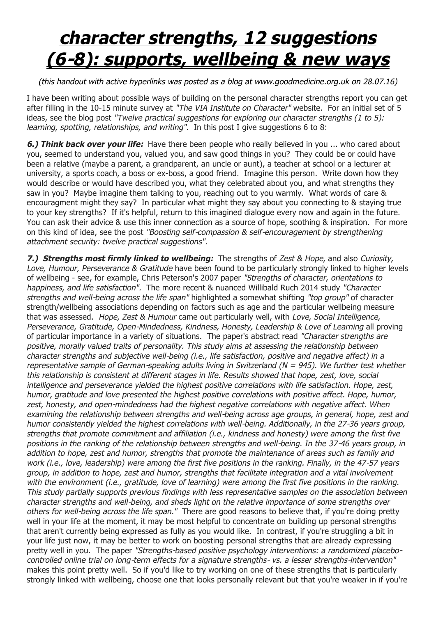## *character strengths, 12 suggestions (6-8): supports, wellbeing & new ways*

## *(this handout with active hyperlinks was posted as a blog at www.goodmedicine.org.uk on 28.07.16)*

I have been writing about possible ways of building on the personal character strengths report you can get after filling in the 10-15 minute survey at *"The VIA Institute on Character"* website. For an initial set of 5 ideas, see the blog post *"Twelve practical suggestions for exploring our character strengths (1 to 5): learning, spotting, relationships, and writing"*. In this post I give suggestions 6 to 8:

*6.) Think back over your life:* Have there been people who really believed in you ... who cared about you, seemed to understand you, valued you, and saw good things in you? They could be or could have been a relative (maybe a parent, a grandparent, an uncle or aunt), a teacher at school or a lecturer at university, a sports coach, a boss or ex-boss, a good friend. Imagine this person. Write down how they would describe or would have described you, what they celebrated about you, and what strengths they saw in you? Maybe imagine them talking to you, reaching out to you warmly. What words of care & encouragment might they say? In particular what might they say about you connecting to & staying true to your key strengths? If it's helpful, return to this imagined dialogue every now and again in the future. You can ask their advice & use this inner connection as a source of hope, soothing & inspiration. For more on this kind of idea, see the post *"Boosting self-compassion & self-encouragement by strengthening attachment security: twelve practical suggestions".*

*7.) Strengths most firmly linked to wellbeing:* The strengths of *Zest & Hope,* and also *Curiosity, Love, Humour, Perseverance & Gratitude* have been found to be particularly strongly linked to higher levels of wellbeing - see, for example, Chris Peterson's 2007 paper *"Strengths of character, orientations to happiness, and life satisfaction".* The more recent & nuanced Willibald Ruch 2014 study *"Character strengths and well-being across the life span"* highlighted a somewhat shifting *"top group"* of character strength/wellbeing associations depending on factors such as age and the particular wellbeing measure that was assessed. *Hope, Zest & Humour* came out particularly well, with *Love, Social Intelligence, Perseverance, Gratitude, Open-Mindedness, Kindness, Honesty, Leadership & Love of Learning* all proving of particular importance in a variety of situations. The paper's abstract read *"Character strengths are positive, morally valued traits of personality. This study aims at assessing the relationship between character strengths and subjective well-being (i.e., life satisfaction, positive and negative affect) in a representative sample of German-speaking adults living in Switzerland (N = 945). We further test whether this relationship is consistent at different stages in life. Results showed that hope, zest, love, social intelligence and perseverance yielded the highest positive correlations with life satisfaction. Hope, zest, humor, gratitude and love presented the highest positive correlations with positive affect. Hope, humor, zest, honesty, and open-mindedness had the highest negative correlations with negative affect. When examining the relationship between strengths and well-being across age groups, in general, hope, zest and humor consistently yielded the highest correlations with well-being. Additionally, in the 27-36 years group, strengths that promote commitment and affiliation (i.e., kindness and honesty) were among the first five positions in the ranking of the relationship between strengths and well-being. In the 37-46 years group, in addition to hope, zest and humor, strengths that promote the maintenance of areas such as family and work (i.e., love, leadership) were among the first five positions in the ranking. Finally, in the 47-57 years group, in addition to hope, zest and humor, strengths that facilitate integration and a vital involvement*  with the environment (i.e., gratitude, love of learning) were among the first five positions in the ranking. *This study partially supports previous findings with less representative samples on the association between character strengths and well-being, and sheds light on the relative importance of some strengths over others for well-being across the life span."* There are good reasons to believe that, if you're doing pretty well in your life at the moment, it may be most helpful to concentrate on building up personal strengths that aren't currently being expressed as fully as you would like. In contrast, if you're struggling a bit in your life just now, it may be better to work on boosting personal strengths that are already expressing pretty well in you. The paper *"Strengths-based positive psychology interventions: a randomized placebocontrolled online trial on long-term effects for a signature strengths- vs. a lesser strengths-intervention"* makes this point pretty well. So if you'd like to try working on one of these strengths that is particularly strongly linked with wellbeing, choose one that looks personally relevant but that you're weaker in if you're